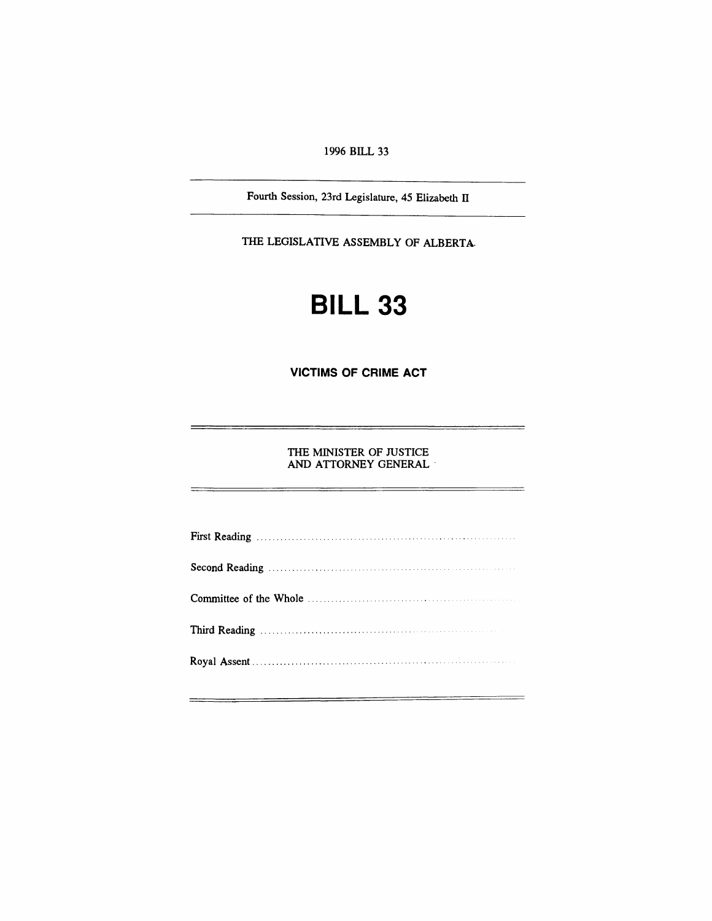*1996 BILL 33*

*Fourth Session, 23rd Legislature, 45 Elizabeth II*

*THE LEGISLATIVE ASSEMBLY OF ALBERTA*

# *BILL 33*

*VICTIMS OF CRIME ACT*

*THE MINISTER OF JUSTICE AND ATTORNEY GENERAL*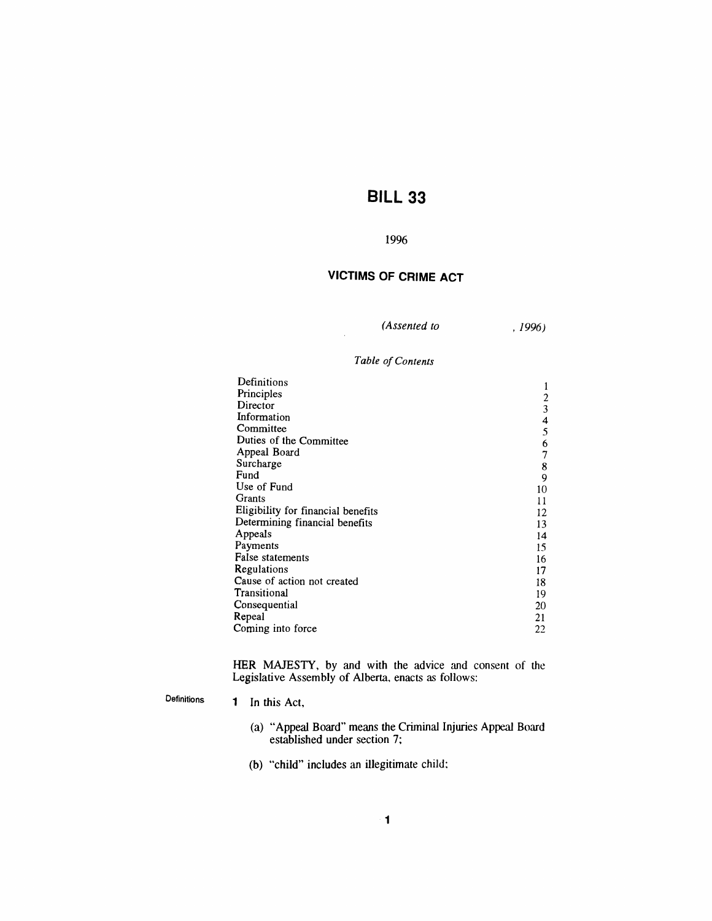# *BILL 33*

### *1996*

# *VICTIMS OF CRIME ACT*

*(Assented to ,1996)*

### *Table ofContents*

| Definitions                        |               |
|------------------------------------|---------------|
| Principles                         |               |
| Director                           | $\frac{2}{3}$ |
| Information                        | 4             |
| Committee                          | 5             |
| Duties of the Committee            | 6             |
| Appeal Board                       | 7             |
| Surcharge                          | 8             |
| Fund                               | 9             |
| Use of Fund                        | 10            |
| Grants                             | 11            |
| Eligibility for financial benefits | 12            |
| Determining financial benefits     | 13            |
| Appeals                            | 14            |
| Payments                           | 15            |
| False statements                   | 16            |
| Regulations                        | 17            |
| Cause of action not created        | 18            |
| Transitional                       | 19            |
| Consequential                      | 20            |
| Repeal                             | 21            |
| Coming into force                  | 22            |
|                                    |               |

*HER MAJESTY, by and with the advice and consent of the Legislative Assembly of Alberta, enacts as follows:*

## *Definitions*

- *<sup>1</sup> In this Act,*
	- *(a) "Appeal Board" means the Criminal Injuries Appeal Board established under section 7;*
	- *(b) "child" includes an illegitimate child:*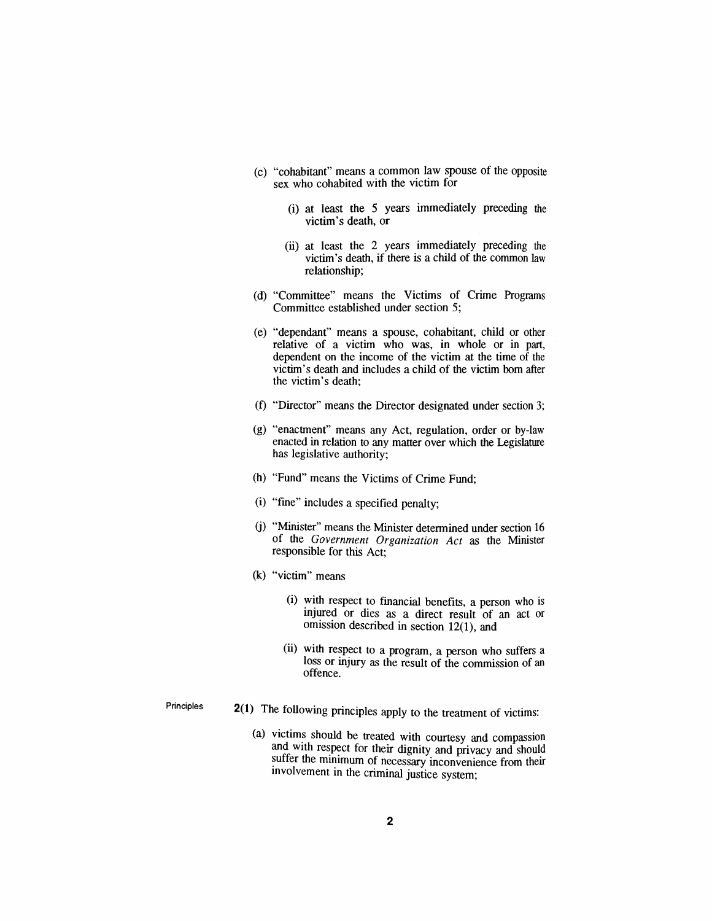- *(c) "cohabitant" means a common law spouse of the opposite sex who cohabited with the victim for*
	- *(i) at least the 5 years immediately preceding the victim's death, or*
	- *(ii) at least the 2 years immediately preceding the victim's death, if there is a child of the common law relationship;*
- *(d) "Committee" means the Victims of Crime Programs Committee established under section 5;*
- *(e) "dependant" means a spouse, cohabitant, child or other relative of a victim who was, in whole or in part, dependent on the income of the victim at the time of the victim's death and includes a child of the victim bom after the victim's death;*
- *(f) "Director" means the Director designated under section 3;*
- *(g) "enactment" means any Act, regulation, order or by-law enacted in relation to any matter over which the Legislature has legislative authority;*
- *(h) "Fund" means the Victims of Crime Fund;*
- *(i) "fine" includes a specified penalty;*
- *(j) "Minister" means the Minister determined under section 16 of the Government Organization Act as the Minister responsible for this Act;*
- *(k) "victim" means*
	- *(i) with respect to financial benefits, a person who is injured or dies as a direct result of an act or omission described in section 12(1), and*
	- *(ii) with respect to a program, a person who suffers a loss or injury as the result of the commission of an offence.*

*Principles*

- *2(1) The following principles apply to the treatment of victims:*
	- *(a) victims should be treated with courtesy and compassion and with respect for their dignity and privacy and should suffer the minimum of necessary inconvenience from their involvement in the criminal justice system;*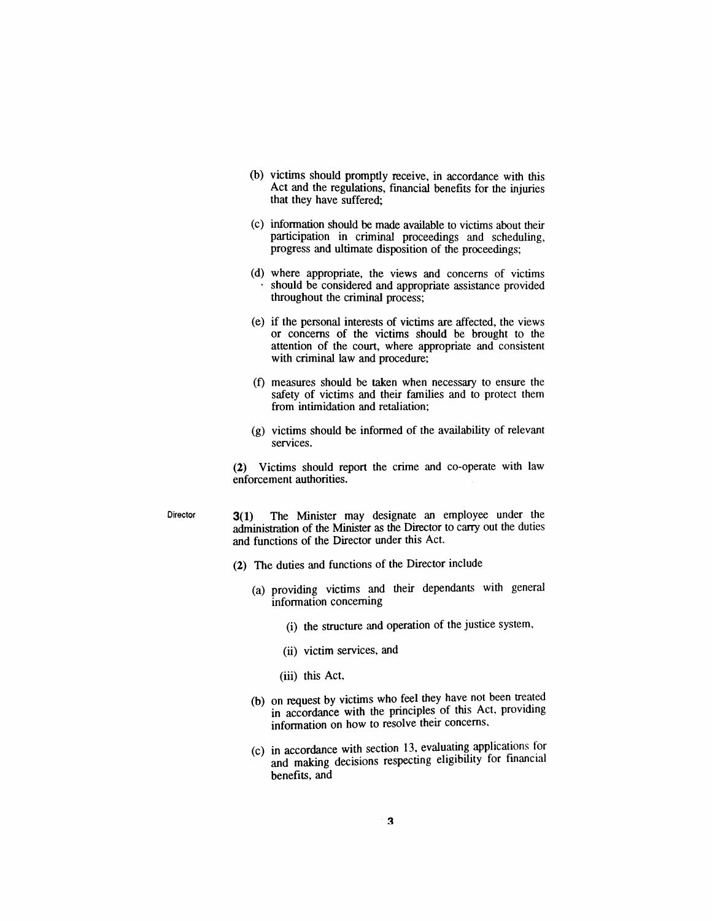- *(b) victims should promptly receive, in accordance with this Act and the regulations, financial benefits for the injuries that they have suffered;*
- *(c) information should be made available to victims about their participation in criminal proceedings and scheduling, progress and ultimate disposition of the proceedings;*
- *(d) where appropriate, the views and concerns of victims should be considered and appropriate assistance provided throughout the criminal process;*
- *(e) if the personal interests of victims are affected, the views or concerns of the victims should be brought to the attention of the court, where appropriate and consistent with criminal law and procedure;*
- *(f) measures should be taken when necessary to ensure the safety of victims and their families and to protect them from intimidation and retaliation;*
- *(g) victims should be informed of the availability of relevant services.*

*(2) Victims should report the crime and co-operate with law enforcement authorities.*

*Director 3(1) The Minister may designate an employee under the administration of the Minister as the Director to carry out the duties and functions of the Director under this Act.*

- *(2) The duties and functions of the Director include*
	- *(a) providing victims and their dependants with general information concerning*
		- *(i) the structure and operation of the justice system,*
		- *(ii) victim services, and*
		- *(iii) this Act,*
	- *(b) on request by victims who feel they have not been treated in accordance with the principles of this Act, providing information on how to resolve their concerns,*
	- *(c) in accordance with section 13, evaluating applications for and making decisions respecting eligibility for financial benefits, and*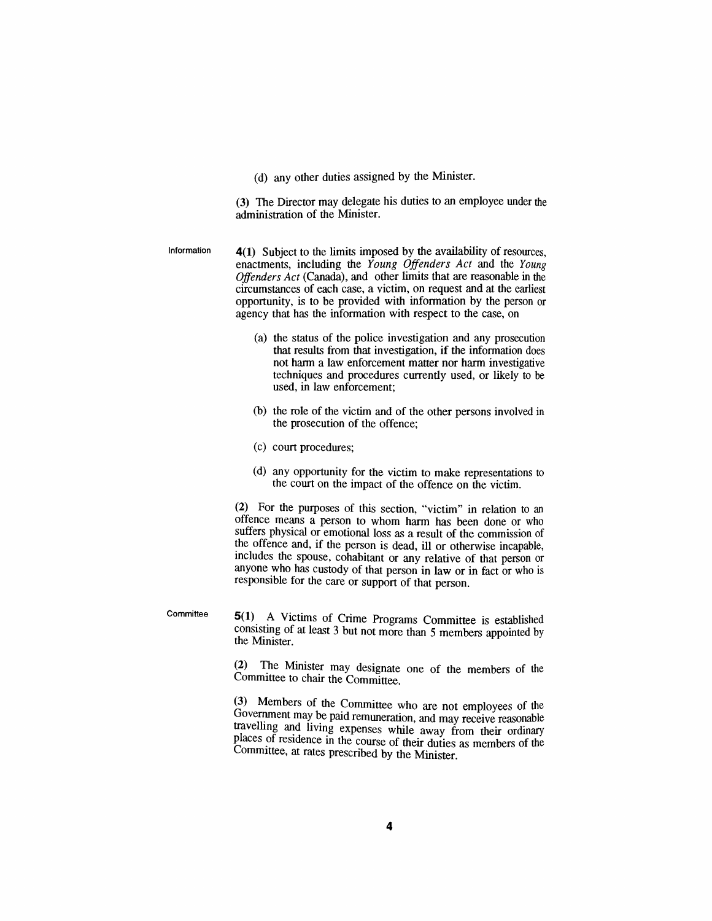*(d) any other duties assigned by the Minister.*

*(3) The Director may delegate his duties to an employee under the administration of the Minister.*

*Information 4(1) Subject to the limits imposed by the availability of resources, enactments, including the Young Offenders Act and the Young Offenders Act (Canada), and other limits that are reasonable in the circumstances of each case, a victim, on request and at the earliest opportunity, is to be provided with information by the person or agency that has the information with respect to the case, on*

- *(a) the status of the police investigation and any prosecution that results from that investigation, if the information does not harm a law enforcement matter nor harm investigative techniques and procedures currently used, or likely to be used, in law enforcement;*
- *(b) the role of the victim and of the other persons involved in the prosecution of the offence;*
- *(c) court procedures;*

*Committee*

*(d) any opportunity for the victim to make representations to the court on the impact of the offence on the victim.*

*(2) For the purposes of this section, "victim" in relation to an offence means a person to whom harm has been done or who suffers physical or emotional loss as a result of the commission of the offence and, if the person is dead, ill or otherwise incapable, includes the spouse, cohabitant or any relative of that person or anyone who has custody of that person in law or in fact or who is responsible for the care or support of that person.*

*5(1) A Victims of Crime Programs Committee is established consisting of at least 3 but not more than 5 members appointed by the Minister.*

*(2) The Minister may designate one of the members of the Committee to chair the Committee.*

*(3) Members of the Committee who are not employees of the Government may be paid remuneration, and may receive reasonable travelling and living expenses while away from their ordinary places of residence in the course of their duties as members of the Committee, at rates prescribed by the Minister.*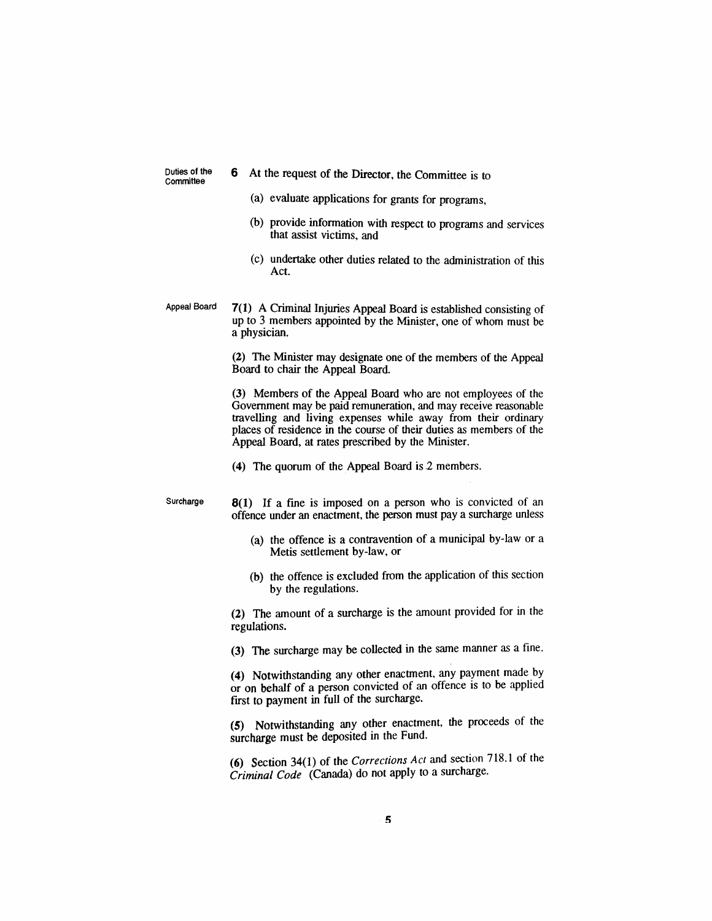*Duties of the Committee*

- *6 At the request of the Director, the Committee is to*
	- *(a) evaluate applications for grants for programs,*
	- *(b) provide information with respect to programs and services that assist victims, and*
	- *(c) undertake other duties related to the administration of this Act.*
- *Appeal Board 7(1) A Criminal Injuries Appeal Board is established consisting of up to 3 members appointed by the Minister, one of whom must be a physician.*

*(2) The Minister may designate one of the members of the Appeal Board to chair the Appeal Board.*

*(3) Members of the Appeal Board who are not employees of the Government may be paid remuneration, and may receive reasonable travelling and living expenses while away from their ordinary places of residence in the course of their duties as members of the Appeal Board, at rates prescribed by the Minister.*

*(4) The quorum of the Appeal Board is 2 members.*

*Surcharge 8(1) If a fine is imposed on a person who is convicted of an offence under an enactment, the person must pay a surcharge unless*

- *(a) the offence is a contravention of a municipal by-law or a Metis settlement by-law, or*
- *(b) the offence is excluded from the application of this section by the regulations.*

*(2) The amount of a surcharge is the amount provided for in the regulations.*

*(3) The surcharge may be collected in the same manner as a fine.*

*(4) Notwithstanding any other enactment, any payment made by or on behalf of a person convicted of an offence is to be applied first to payment in full of the surcharge.*

*(5) Notwithstanding any other enactment, the proceeds of the surcharge must be deposited in the Fund.*

*(6) Section 34(1) of the Corrections Act and section 718.1 of the Criminal Code (Canada) do not apply to a surcharge.*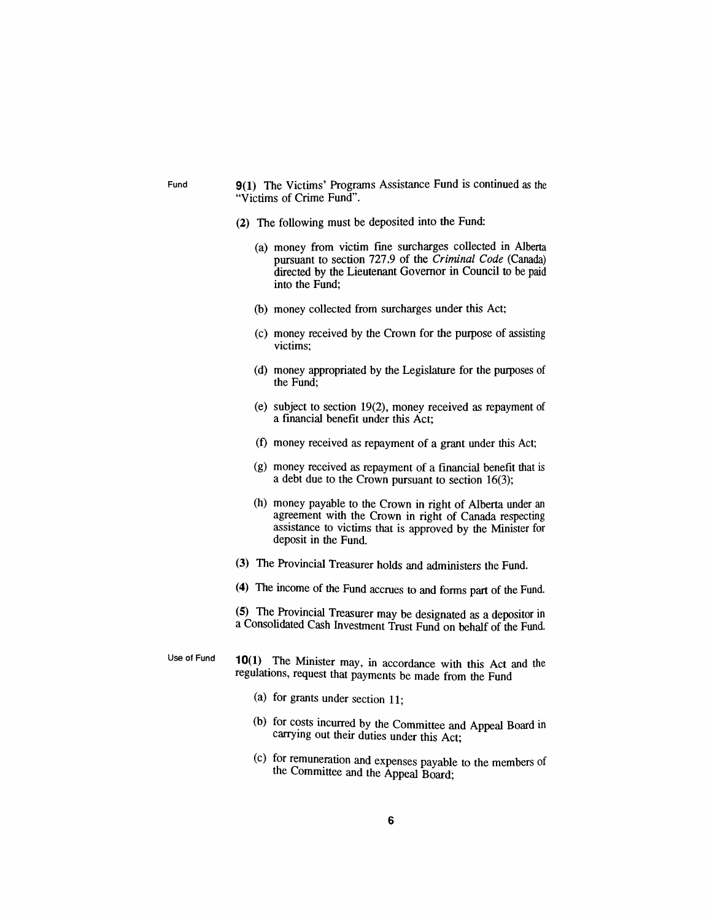- *Fund 9(1) The Victims' Programs Assistance Fund is continued as the "Victims of Crime Fund".*
	- *(2) The following must be deposited into the Fund:*
		- *(a) money from victim fine surcharges collected in Alberta pursuant to section 727.9 of the Criminal Code (Canada) directed by the Lieutenant Governor in Council to be paid into the Fund;*
		- *(b) money collected from surcharges under this Act;*
		- *(c) money received by the Crown for the purpose of assisting victims;*
		- *(d) money appropriated by the Legislature for the purposes of the Fund;*
		- *(e) subject to section 19(2), money received as repayment of a financial benefit under this Act;*
		- *(f) money received as repayment of a grant under this Act;*
		- *(g) money received as repayment of a financial benefit that is a debt due to the Crown pursuant to section 16(3);*
		- *(h) money payable to the Crown in right of Alberta under an agreement with the Crown in right of Canada respecting assistance to victims that is approved by the Minister for deposit in the Fund.*
	- *(3) The Provincial Treasurer holds and administers the Fund.*
	- *(4) The income of the Fund accrues to and forms part of the Fund.*

*(5) The Provincial Treasurer may be designated as a depositor in a Consolidated Cash Investment Trust Fund on behalf of the Fund.*

*Use of Fund 10(1) The Minister may, in accordance with this Act and the regulations, request that payments be made from the Fund*

- *(a) for grants under section 11;*
- *(b) for costs incurred by the Committee and Appeal Board in carrying out their duties under this Act;*
- *(c) for remuneration and expenses payable to the members of the Committee and the Appeal Board;*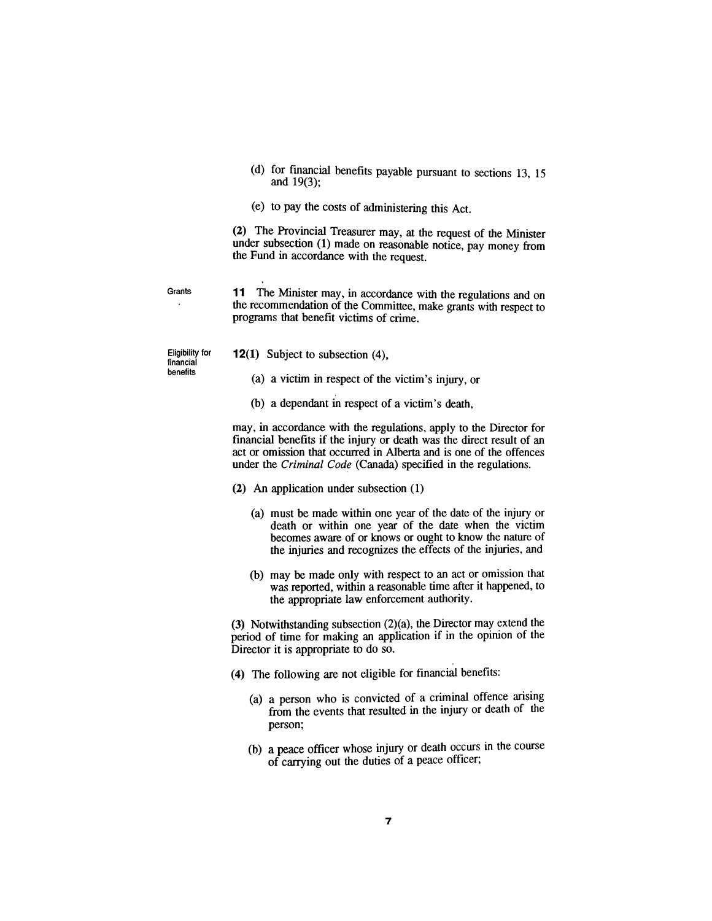- *(d) for financial benefits payable pursuant to sections 13 15 and 19(3);*
- *(e) to pay the costs of administering this Act.*

*(2) The Provincial Treasurer may, at the request of the Minister under subsection (1) made on reasonable notice, pay money from the Fund in accordance with the request.*

*Grants 11 The Minister may, in accordance with the regulations and on the recommendation of the Committee, make grants with respect to programs that benefit victims of crime.*

*Eligibility for financial benefits*

- *12(1) Subject to subsection (4),*
	- *(a) a victim in respect of the victim's injury, or*
	- *(b) a dependant in respect of a victim's death,*

*may, in accordance with the regulations, apply to the Director for financial benefits if the injury or death was the direct result of an act or omission that occurred in Alberta and is one of the offences under the Criminal Code (Canada) specified in the regulations.*

- *(2) An application under subsection (1)*
	- *(a) must be made within one year of the date of the injury or death or within one year of the date when the victim becomes aware of or knows or ought to know the nature of the injuries and recognizes the effects of the injuries, and*
	- *(b) may be made only with respect to an act or omission that was reported, within a reasonable time after it happened, to the appropriate law enforcement authority.*

*(3) Notwithstanding subsection (2)(a), the Director may extend the period of time for making an application if in the opinion of the Director it is appropriate to do so.*

- *(4) The following are not eligible for financial benefits:*
	- *(a) a person who is convicted of a criminal offence arising from the events that resulted in the injury or death of the person;*
	- *(b) a peace officer whose injury or death occurs in the course of carrying out the duties of a peace officer;*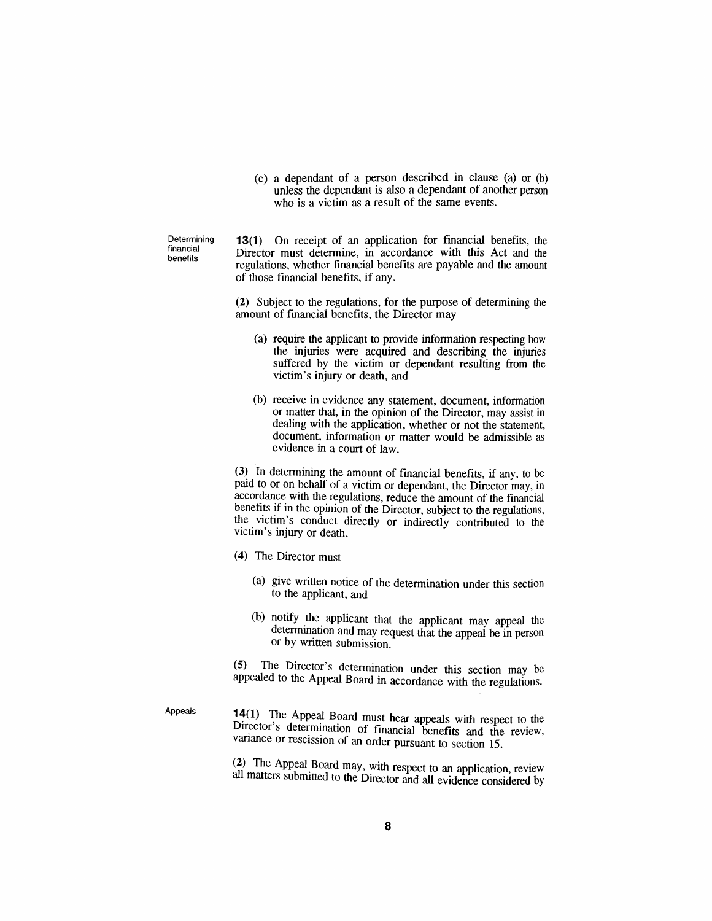*(c) a dependant of a person described in clause (a) or (b) unless the dependant is also a dependant of another person who is a victim as a result of the same events.*

*Determining financial benefits*

*13(1) On receipt of an application for financial benefits, the Director must determine, in accordance with this Act and the regulations, whether financial benefits are payable and the amount of those financial benefits, if any.*

*(2) Subject to the regulations, for the purpose of determining the amount of financial benefits, the Director may*

- *(a) require the applicant to provide information respecting how the injuries were acquired and describing the injuries suffered by the victim or dependant resulting from the victim's injury or death, and*
- *(b) receive in evidence any statement, document, information or matter that, in the opinion of the Director, may assist in dealing with the application, whether or not the statement, document, information or matter would be admissible as evidence in a court of law.*

*(3) In determining the amount of financial benefits, if any, to be paid to or on behalf of a victim or dependant, the Director may, in accordance with the regulations, reduce the amount of the financial benefits if in the opinion of the Director, subject to the regulations, the victim's conduct directly or indirectly contributed to the victim's injury or death.*

- *(4) The Director must*
	- *(a) give written notice of the determination under this section to the applicant, and*
	- *(b) notify the applicant that the applicant may appeal the determination and may request that the appeal be in person or by written submission.*

*(5) The Director's determination under this section may be appealed to the Appeal Board in accordance with the regulations.*

*Appeals*

*14(1) The Appeal Board must hear appeals with respect to the Director s determination of financial benefits and the review, variance or rescission of an order pursuant to section 15.*

*(2) The Appeal Board may, with respect to an application, review amllatters submitted to the Director and all evidence considered by*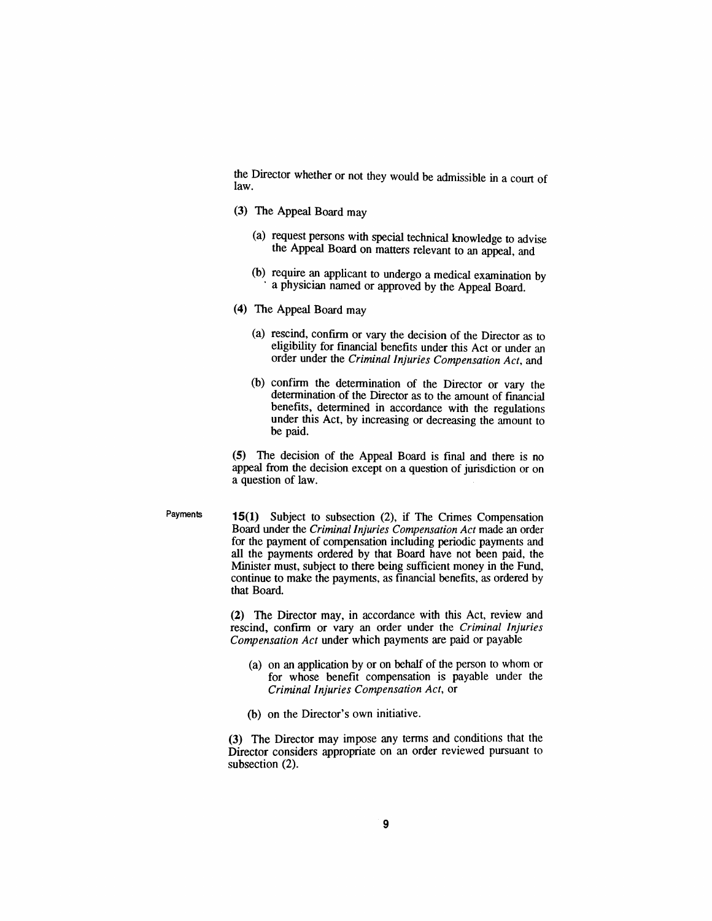*the Director whether or not they would be admissible in a court of law.*

- *(3) The Appeal Board may*
	- *(a) request persons with special technical knowledge to advise the Appeal Board on matters relevant to an appeal, and*
	- *(b) require an applicant to undergo a medical examination by a physician named or approved by the Appeal Board.*
- *(4) The Appeal Board may*
	- *(a) rescind, confirm or vary the decision of the Director as to eligibility for financial benefits under this Act or under an order under the Criminal Injuries Compensation Act, and*
	- *(b) confirm the determination of the Director or vary the determination of the Director as to the amount of financial benefits, determined in accordance with the regulations under this Act, by increasing or decreasing the amount to be paid.*

*(5) The decision of the Appeal Board is final and there is no appeal from the decision except on a question of jurisdiction or on a question of law.*

*Payments 15(1) Subject to subsection (2), if The Crimes Compensation Board under the Criminal Injuries Compensation Act made an order for the payment of compensation including periodic payments and all the payments ordered by that Board have not been paid, the Minister must, subject to there being sufficient money in the Fund, continue to make the payments, as financial benefits, as ordered by that Board.*

> *(2) The Director may, in accordance with this Act, review and rescind, confirm or vary an order under the Criminal Injuries Compensation Act under which payments are paid or payable*

- *(a) on an application by or on behalf of the person to whom or for whose benefit compensation is payable under the Criminal Injuries Compensation Act, or*
- *(b) on the Director's own initiative.*

*(3) The Director may impose any terms and conditions that the Director considers appropriate on an order reviewed pursuant to subsection (2).*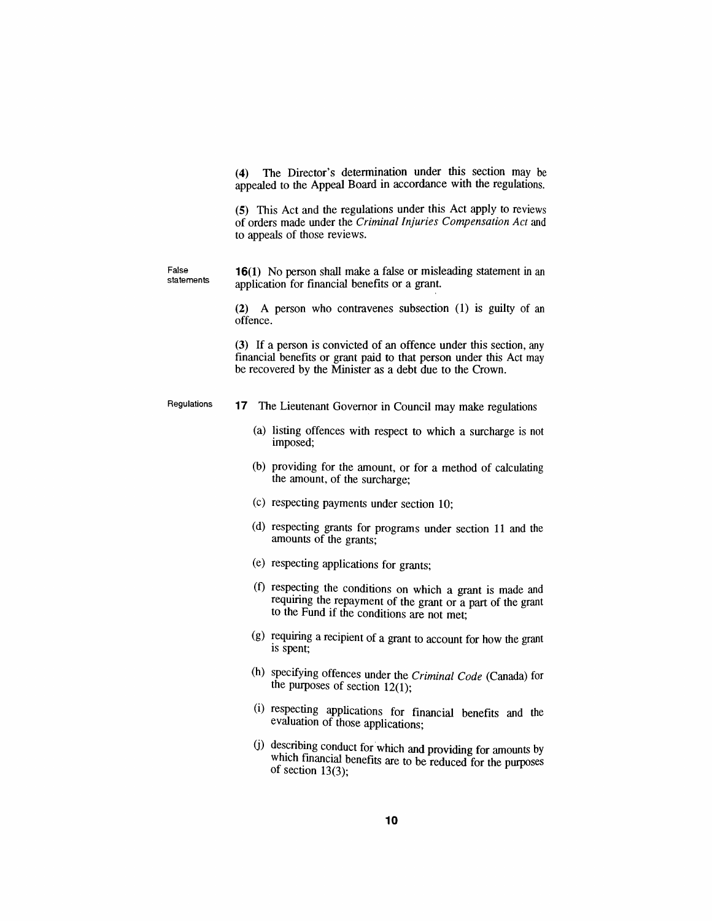*(4) The Director's determination under this section may be appealed to the Appeal Board in accordance with the regulations.*

*(5) This Act and the regulations under this Act apply to reviews of orders made under the Criminal Injuries Compensation Act and to appeals of those reviews.*

*statements 16(1) No person shall make a false or misleading statement in an application for financial benefits or a grant.*

*False*

*(2) A person who contravenes subsection (1) is guilty of an offence.*

*(3) If a person is convicted of an offence under this section, any financial benefits or grant paid to that person under this Act may be recovered by the Minister as a debt due to the Crown.*

- *Regulations 17 The Lieutenant Governor in Council may make regulations*
	- *(a) listing offences with respect to which a surcharge is not imposed;*
	- *(b) providing for the amount, or for a method of calculating the amount, of the surcharge;*
	- *(c) respecting payments under section 10;*
	- *(d) respecting grants for programs under section 11 and the amounts of the grants;*
	- *(e) respecting applications for grants;*
	- *(f) respecting the conditions on which a grant is made and requiring the repayment of the grant or a part of the grant to the Fund if the conditions are not met;*
	- *(g) requiring a recipient of a grant to account for how the grant is spent;*
	- *(h) specifying offences under the Criminal Code (Canada) for the purposes of section 12(1);*
	- *(i) respecting applications for financial benefits and the evaluation of those applications;*
	- *(j) describing conduct for which and providing for amounts by which financial benefits are to be reduced for the purposes of section 13(3);*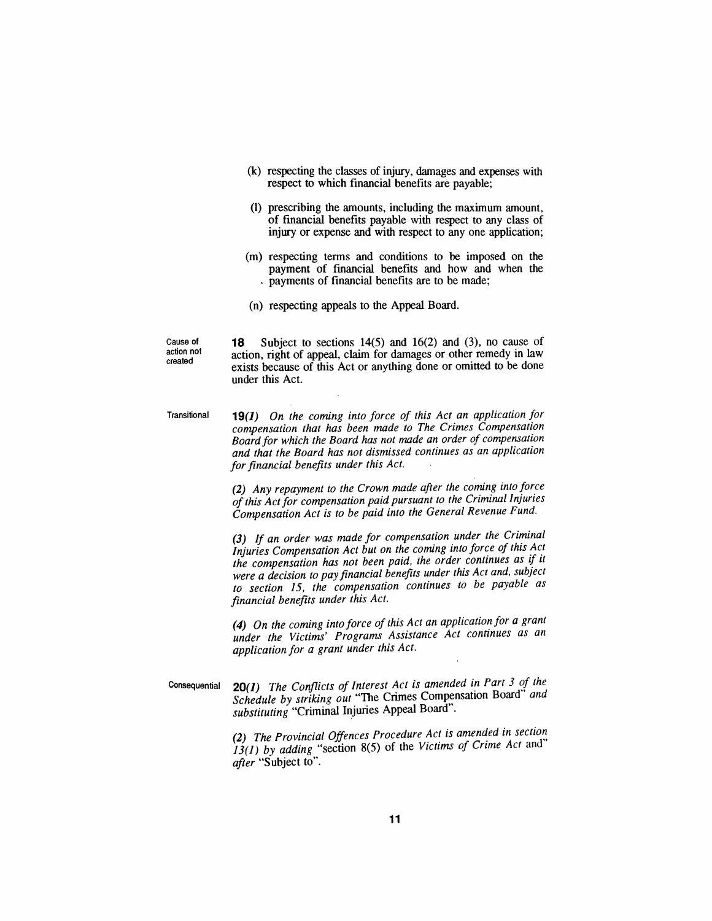- *(k) respecting the classes of injury, damages and expenses with respect to which financial benefits are payable;*
- *(l) prescribing the amounts, including the maximum amount, of financial benefits payable with respect to any class of injury or expense and with respect to any one application;*
- *(m) respecting terms and conditions to be imposed on the payment of financial benefits and how and when the payments of financial benefits are to be made;*
- *(n) respecting appeals to the Appeal Board.*

*Cause of action not created*

*18 Subject to sections 14(5) and 16(2) and (3), no cause of action, right of appeal, claim for damages or other remedy in law exists because of this Act or anything done or omitted to be done under this Act.*

*Transitional 19(1) On the coming into force of this Act an application for compensation that has been made to The Crimes Compensation Boardfor which the Board has not made an order of compensation and that the Board has not dismissed continues as an application forfinancial benefits under this Act.*

> *(2) Any repayment to the Crown made after the coming into force ofthis Actfor compensation paid pursuant to the Criminal Injuries Compensation Act is to be paid into the General Revenue Fund.*

> *(3) If an order was made for compensation under the Criminal Injuries Compensation Act but on the coming into force of this Act the compensation has not been paid, the order continues as if it were a decision to payfinancial benefits under this Act and, subject to section 15, the compensation continues to be payable as financial benefits under this Act.*

> *(4) On the coming into force ofthis Act an application for a grant under the Victims' Programs Assistance Act continues as an application for a grant under this Act.*

*Consequential 20(1) The Conflicts of Interest Act is amended in Part 3 of the Schedule by striking out "The Crimes Compensation Board and substituting "Criminal Injuries Appeal Board".*

> *(2) The Provincial Offences Procedure Act is amended in section 13(1) by adding "section 8(5) of the Victims of Crime Act"and after "Subject to".*